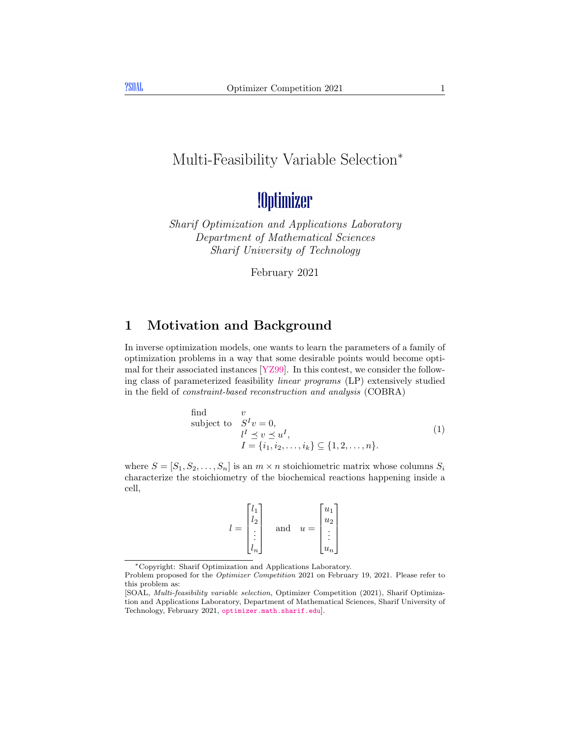### Multi-Feasibility Variable Selection<sup>∗</sup>

## !Optimizer

Sharif Optimization and Applications Laboratory Department of Mathematical Sciences Sharif University of Technology

<span id="page-0-0"></span>February 2021

#### 1 Motivation and Background

In inverse optimization models, one wants to learn the parameters of a family of optimization problems in a way that some desirable points would become optimal for their associated instances [\[YZ99\]](#page-6-0). In this contest, we consider the following class of parameterized feasibility linear programs (LP) extensively studied in the field of constraint-based reconstruction and analysis (COBRA)

find 
$$
v
$$
subject to 
$$
S^{I}v = 0,
$$

$$
l^{I} \preceq v \preceq u^{I},
$$

$$
I = \{i_1, i_2, \dots, i_k\} \subseteq \{1, 2, \dots, n\}.
$$

$$
(1)
$$

where  $S = [S_1, S_2, \ldots, S_n]$  is an  $m \times n$  stoichiometric matrix whose columns  $S_i$ characterize the stoichiometry of the biochemical reactions happening inside a cell,

$$
l = \begin{bmatrix} l_1 \\ l_2 \\ \vdots \\ l_n \end{bmatrix} \quad \text{and} \quad u = \begin{bmatrix} u_1 \\ u_2 \\ \vdots \\ u_n \end{bmatrix}
$$

<sup>∗</sup>Copyright: Sharif Optimization and Applications Laboratory.

Problem proposed for the Optimizer Competition 2021 on February 19, 2021. Please refer to this problem as:

<sup>[</sup>SOAL, Multi-feasibility variable selection, Optimizer Competition (2021), Sharif Optimization and Applications Laboratory, Department of Mathematical Sciences, Sharif University of Technology, February 2021, <optimizer.math.sharif.edu>].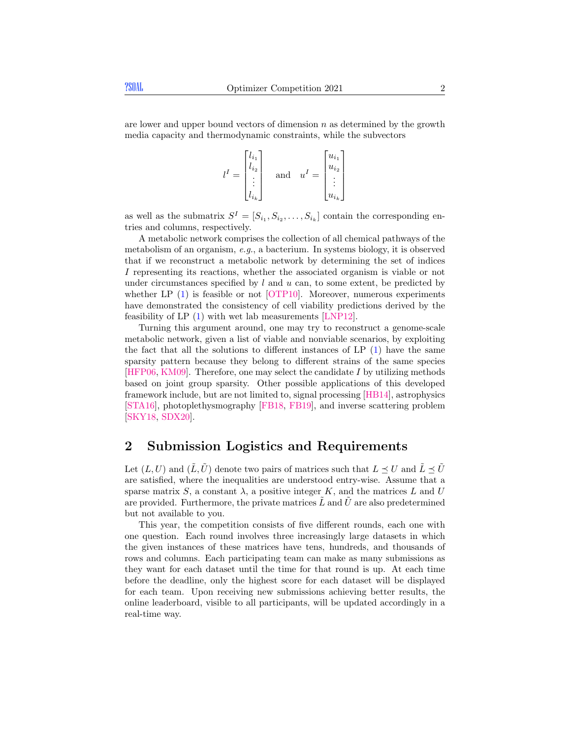are lower and upper bound vectors of dimension  $n$  as determined by the growth media capacity and thermodynamic constraints, while the subvectors

$$
l^{I} = \begin{bmatrix} l_{i_1} \\ l_{i_2} \\ \vdots \\ l_{i_k} \end{bmatrix} \quad \text{and} \quad u^{I} = \begin{bmatrix} u_{i_1} \\ u_{i_2} \\ \vdots \\ u_{i_k} \end{bmatrix}
$$

as well as the submatrix  $S^I = [S_{i_1}, S_{i_2}, \ldots, S_{i_k}]$  contain the corresponding entries and columns, respectively.

A metabolic network comprises the collection of all chemical pathways of the metabolism of an organism, e.g., a bacterium. In systems biology, it is observed that if we reconstruct a metabolic network by determining the set of indices I representing its reactions, whether the associated organism is viable or not under circumstances specified by  $l$  and  $u$  can, to some extent, be predicted by whether LP [\(1\)](#page-0-0) is feasible or not [\[OTP10\]](#page-6-1). Moreover, numerous experiments have demonstrated the consistency of cell viability predictions derived by the feasibility of LP [\(1\)](#page-0-0) with wet lab measurements [\[LNP12\]](#page-6-2).

Turning this argument around, one may try to reconstruct a genome-scale metabolic network, given a list of viable and nonviable scenarios, by exploiting the fact that all the solutions to different instances of  $LP(1)$  $LP(1)$  have the same sparsity pattern because they belong to different strains of the same species  $[HFP06, KM09]$  $[HFP06, KM09]$  $[HFP06, KM09]$ . Therefore, one may select the candidate I by utilizing methods based on joint group sparsity. Other possible applications of this developed framework include, but are not limited to, signal processing [\[HB14\]](#page-5-1), astrophysics [\[STA16\]](#page-6-4), photoplethysmography [\[FB18,](#page-5-2) [FB19\]](#page-5-3), and inverse scattering problem [\[SKY18,](#page-6-5) [SDX20\]](#page-6-6).

#### 2 Submission Logistics and Requirements

Let  $(L, U)$  and  $(\tilde{L}, \tilde{U})$  denote two pairs of matrices such that  $L \preceq U$  and  $\tilde{L} \preceq \tilde{U}$ are satisfied, where the inequalities are understood entry-wise. Assume that a sparse matrix S, a constant  $\lambda$ , a positive integer K, and the matrices L and U are provided. Furthermore, the private matrices  $\tilde{L}$  and  $\tilde{U}$  are also predetermined but not available to you.

This year, the competition consists of five different rounds, each one with one question. Each round involves three increasingly large datasets in which the given instances of these matrices have tens, hundreds, and thousands of rows and columns. Each participating team can make as many submissions as they want for each dataset until the time for that round is up. At each time before the deadline, only the highest score for each dataset will be displayed for each team. Upon receiving new submissions achieving better results, the online leaderboard, visible to all participants, will be updated accordingly in a real-time way.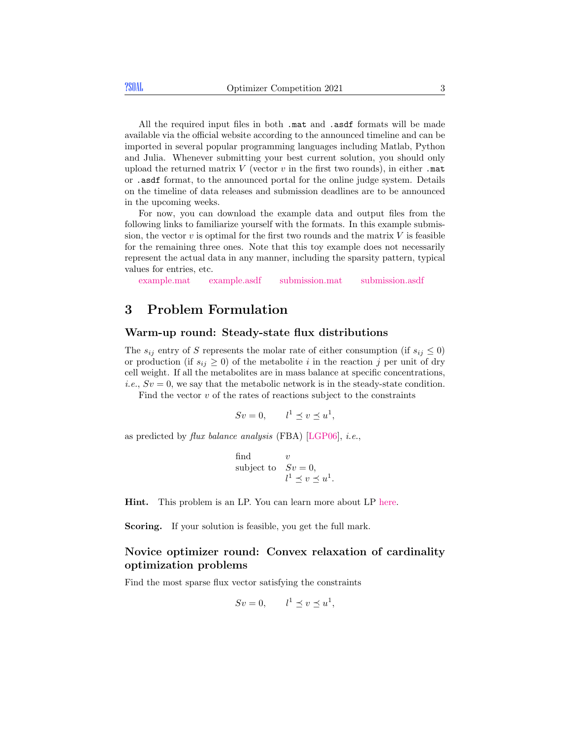All the required input files in both .mat and .asdf formats will be made available via the official website according to the announced timeline and can be imported in several popular programming languages including Matlab, Python and Julia. Whenever submitting your best current solution, you should only upload the returned matrix  $V$  (vector  $v$  in the first two rounds), in either .mat or .asdf format, to the announced portal for the online judge system. Details on the timeline of data releases and submission deadlines are to be announced in the upcoming weeks.

For now, you can download the example data and output files from the following links to familiarize yourself with the formats. In this example submission, the vector  $v$  is optimal for the first two rounds and the matrix  $V$  is feasible for the remaining three ones. Note that this toy example does not necessarily represent the actual data in any manner, including the sparsity pattern, typical values for entries, etc.

[example.mat](http://optimizer.math.sharif.edu/DataLoader2021/example.mat) [example.asdf](http://optimizer.math.sharif.edu/DataLoader2021/example.asdf) [submission.mat](http://optimizer.math.sharif.edu/DataLoader2021/submission.mat) [submission.asdf](http://optimizer.math.sharif.edu/DataLoader2021/submission.asdf)

#### 3 Problem Formulation

#### Warm-up round: Steady-state flux distributions

The  $s_{ij}$  entry of S represents the molar rate of either consumption (if  $s_{ij} \leq 0$ ) or production (if  $s_{ij} \geq 0$ ) of the metabolite i in the reaction j per unit of dry cell weight. If all the metabolites are in mass balance at specific concentrations, *i.e.*,  $Sv = 0$ , we say that the metabolic network is in the steady-state condition.

Find the vector  $v$  of the rates of reactions subject to the constraints

$$
Sv = 0, \qquad l^1 \preceq v \preceq u^1,
$$

as predicted by flux balance analysis (FBA) [\[LGP06\]](#page-6-7), i.e.,

find 
$$
v
$$
  
subject to  $Sv = 0$ ,  
 $l1 \le v \le u1$ .

Hint. This problem is an LP. You can learn more about LP [here.](http://sharif.edu/~mtefagh/cvx/home.html)

Scoring. If your solution is feasible, you get the full mark.

#### Novice optimizer round: Convex relaxation of cardinality optimization problems

Find the most sparse flux vector satisfying the constraints

$$
Sv = 0, \qquad l^1 \preceq v \preceq u^1,
$$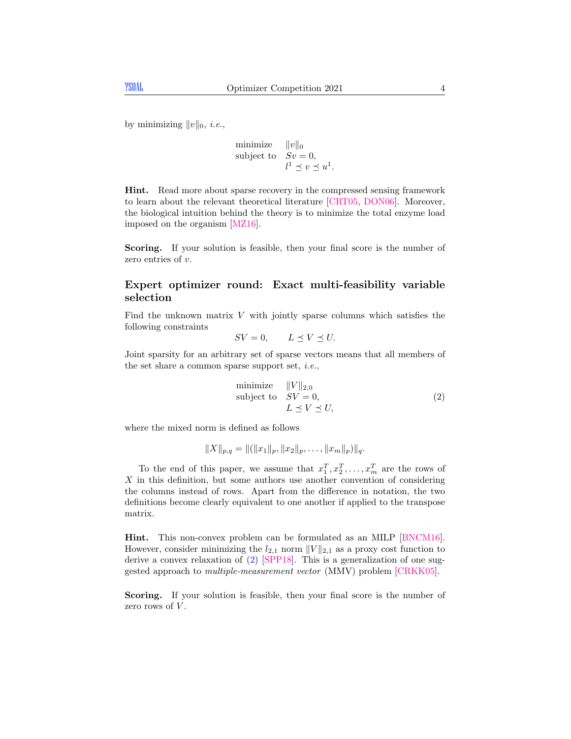by minimizing  $||v||_0$ , *i.e.*,

minimize 
$$
||v||_0
$$
  
subject to  $Sv = 0$ ,  
 $l^1 \preceq v \preceq u^1$ .

Hint. Read more about sparse recovery in the compressed sensing framework to learn about the relevant theoretical literature [\[CRT05,](#page-5-4) [DON06\]](#page-5-5). Moreover, the biological intuition behind the theory is to minimize the total enzyme load imposed on the organism [\[MZ16\]](#page-6-8).

Scoring. If your solution is feasible, then your final score is the number of zero entries of v.

#### Expert optimizer round: Exact multi-feasibility variable selection

Find the unknown matrix  $V$  with jointly sparse columns which satisfies the following constraints

$$
SV = 0, \qquad L \preceq V \preceq U.
$$

Joint sparsity for an arbitrary set of sparse vectors means that all members of the set share a common sparse support set, i.e.,

<span id="page-3-0"></span>minimize 
$$
||V||_{2,0}
$$
  
subject to  $SV = 0$ ,  
 $L \preceq V \preceq U$ , (2)

where the mixed norm is defined as follows

$$
||X||_{p,q} = ||(||x_1||_p, ||x_2||_p, \ldots, ||x_m||_p)||_q.
$$

To the end of this paper, we assume that  $x_1^T, x_2^T, \ldots, x_m^T$  are the rows of  $X$  in this definition, but some authors use another convention of considering the columns instead of rows. Apart from the difference in notation, the two definitions become clearly equivalent to one another if applied to the transpose matrix.

Hint. This non-convex problem can be formulated as an MILP [\[BNCM16\]](#page-5-6). However, consider minimizing the  $l_{2,1}$  norm  $||V||_{2,1}$  as a proxy cost function to derive a convex relaxation of [\(2\)](#page-3-0) [\[SPP18\]](#page-6-9). This is a generalization of one suggested approach to multiple-measurement vector (MMV) problem [\[CRKK05\]](#page-5-7).

Scoring. If your solution is feasible, then your final score is the number of zero rows of  $V$ .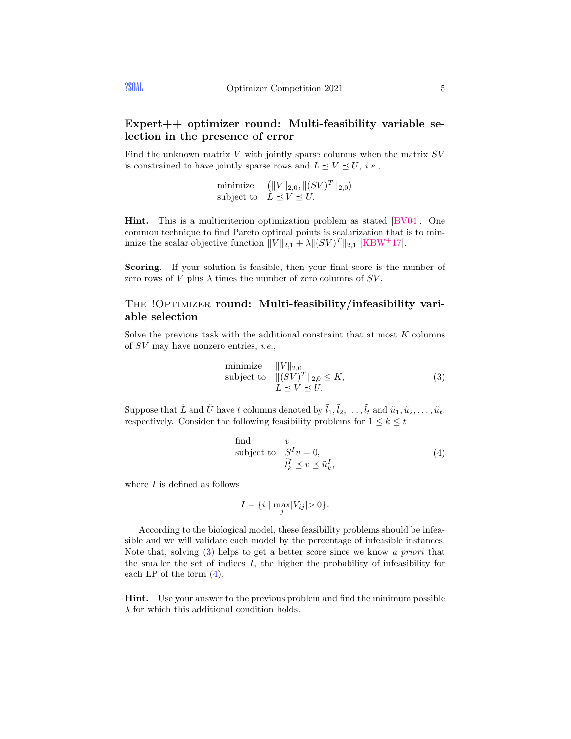#### Expert++ optimizer round: Multi-feasibility variable selection in the presence of error

Find the unknown matrix  $V$  with jointly sparse columns when the matrix  $SV$ is constrained to have jointly sparse rows and  $L \preceq V \preceq U$ , *i.e.*,

minimize 
$$
(||V||_{2,0}, ||(SV)^T||_{2,0})
$$
  
subject to  $L \preceq V \preceq U$ .

Hint. This is a multicriterion optimization problem as stated [\[BV04\]](#page-5-8). One common technique to find Pareto optimal points is scalarization that is to minimize the scalar objective function  $||V||_{2,1} + \lambda ||(SV)^T||_{2,1}$  [\[KBW](#page-6-10)<sup>+</sup>17].

Scoring. If your solution is feasible, then your final score is the number of zero rows of V plus  $\lambda$  times the number of zero columns of SV.

#### THE !OPTIMIZER round: Multi-feasibility/infeasibility variable selection

Solve the previous task with the additional constraint that at most K columns of SV may have nonzero entries, i.e.,

<span id="page-4-0"></span>minimize 
$$
||V||_{2,0}
$$
  
subject to  $||(SV)^T||_{2,0} \le K$ ,  
 $L \preceq V \preceq U$ . (3)

Suppose that  $\tilde{L}$  and  $\tilde{U}$  have t columns denoted by  $\tilde{l}_1, \tilde{l}_2, \ldots, \tilde{l}_t$  and  $\tilde{u}_1, \tilde{u}_2, \ldots, \tilde{u}_t$ , respectively. Consider the following feasibility problems for  $1 \leq k \leq t$ 

<span id="page-4-1"></span>find 
$$
v
$$
  
subject to  $S^I v = 0$ ,  
 $\tilde{l}_k^I \preceq v \preceq \tilde{u}_k^I$ , (4)

where  $I$  is defined as follows

$$
I = \{i \mid \max_{j} |V_{ij}| > 0\}.
$$

According to the biological model, these feasibility problems should be infeasible and we will validate each model by the percentage of infeasible instances. Note that, solving [\(3\)](#page-4-0) helps to get a better score since we know a priori that the smaller the set of indices  $I$ , the higher the probability of infeasibility for each LP of the form  $(4)$ .

Hint. Use your answer to the previous problem and find the minimum possible  $\lambda$  for which this additional condition holds.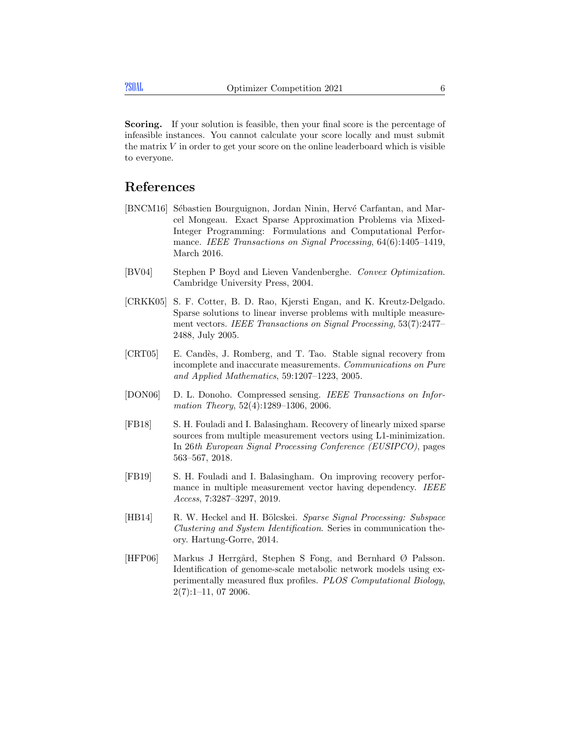Scoring. If your solution is feasible, then your final score is the percentage of infeasible instances. You cannot calculate your score locally and must submit the matrix  $V$  in order to get your score on the online leaderboard which is visible to everyone.

#### References

- <span id="page-5-6"></span>[BNCM16] Sébastien Bourguignon, Jordan Ninin, Hervé Carfantan, and Marcel Mongeau. Exact Sparse Approximation Problems via Mixed-Integer Programming: Formulations and Computational Performance. IEEE Transactions on Signal Processing, 64(6):1405-1419, March 2016.
- <span id="page-5-8"></span>[BV04] Stephen P Boyd and Lieven Vandenberghe. Convex Optimization. Cambridge University Press, 2004.
- <span id="page-5-7"></span>[CRKK05] S. F. Cotter, B. D. Rao, Kjersti Engan, and K. Kreutz-Delgado. Sparse solutions to linear inverse problems with multiple measurement vectors. IEEE Transactions on Signal Processing, 53(7):2477– 2488, July 2005.
- <span id="page-5-4"></span>[CRT05] E. Candès, J. Romberg, and T. Tao. Stable signal recovery from incomplete and inaccurate measurements. Communications on Pure and Applied Mathematics, 59:1207–1223, 2005.
- <span id="page-5-5"></span>[DON06] D. L. Donoho. Compressed sensing. IEEE Transactions on Information Theory, 52(4):1289–1306, 2006.
- <span id="page-5-2"></span>[FB18] S. H. Fouladi and I. Balasingham. Recovery of linearly mixed sparse sources from multiple measurement vectors using L1-minimization. In 26th European Signal Processing Conference (EUSIPCO), pages 563–567, 2018.
- <span id="page-5-3"></span>[FB19] S. H. Fouladi and I. Balasingham. On improving recovery performance in multiple measurement vector having dependency. IEEE Access, 7:3287–3297, 2019.
- <span id="page-5-1"></span>[HB14] R. W. Heckel and H. Bölcskei. Sparse Signal Processing: Subspace Clustering and System Identification. Series in communication theory. Hartung-Gorre, 2014.
- <span id="page-5-0"></span>[HFP06] Markus J Herrgård, Stephen S Fong, and Bernhard Ø Palsson. Identification of genome-scale metabolic network models using experimentally measured flux profiles. PLOS Computational Biology, 2(7):1–11, 07 2006.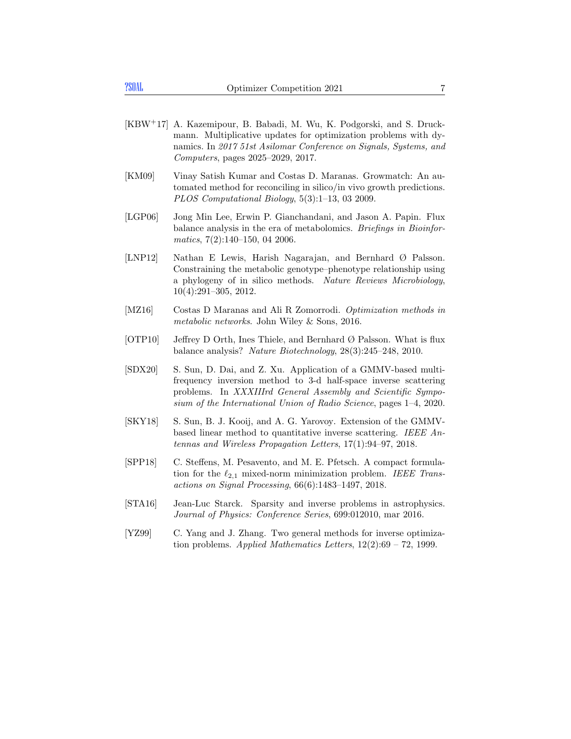- <span id="page-6-10"></span>[KBW+17] A. Kazemipour, B. Babadi, M. Wu, K. Podgorski, and S. Druckmann. Multiplicative updates for optimization problems with dynamics. In 2017 51st Asilomar Conference on Signals, Systems, and Computers, pages 2025–2029, 2017.
- <span id="page-6-3"></span>[KM09] Vinay Satish Kumar and Costas D. Maranas. Growmatch: An automated method for reconciling in silico/in vivo growth predictions. PLOS Computational Biology, 5(3):1–13, 03 2009.
- <span id="page-6-7"></span>[LGP06] Jong Min Lee, Erwin P. Gianchandani, and Jason A. Papin. Flux balance analysis in the era of metabolomics. Briefings in Bioinformatics, 7(2):140–150, 04 2006.
- <span id="page-6-2"></span>[LNP12] Nathan E Lewis, Harish Nagarajan, and Bernhard Ø Palsson. Constraining the metabolic genotype–phenotype relationship using a phylogeny of in silico methods. Nature Reviews Microbiology, 10(4):291–305, 2012.
- <span id="page-6-8"></span>[MZ16] Costas D Maranas and Ali R Zomorrodi. *Optimization methods in* metabolic networks. John Wiley & Sons, 2016.
- <span id="page-6-1"></span> $[OTP10]$  Jeffrey D Orth, Ines Thiele, and Bernhard  $\varnothing$  Palsson. What is flux balance analysis? Nature Biotechnology, 28(3):245–248, 2010.
- <span id="page-6-6"></span>[SDX20] S. Sun, D. Dai, and Z. Xu. Application of a GMMV-based multifrequency inversion method to 3-d half-space inverse scattering problems. In XXXIIIrd General Assembly and Scientific Symposium of the International Union of Radio Science, pages 1–4, 2020.
- <span id="page-6-5"></span>[SKY18] S. Sun, B. J. Kooij, and A. G. Yarovoy. Extension of the GMMVbased linear method to quantitative inverse scattering. IEEE Antennas and Wireless Propagation Letters, 17(1):94–97, 2018.
- <span id="page-6-9"></span>[SPP18] C. Steffens, M. Pesavento, and M. E. Pfetsch. A compact formulation for the  $\ell_{2,1}$  mixed-norm minimization problem. IEEE Transactions on Signal Processing, 66(6):1483–1497, 2018.
- <span id="page-6-4"></span>[STA16] Jean-Luc Starck. Sparsity and inverse problems in astrophysics. Journal of Physics: Conference Series, 699:012010, mar 2016.
- <span id="page-6-0"></span>[YZ99] C. Yang and J. Zhang. Two general methods for inverse optimization problems. Applied Mathematics Letters,  $12(2):69 - 72$ , 1999.